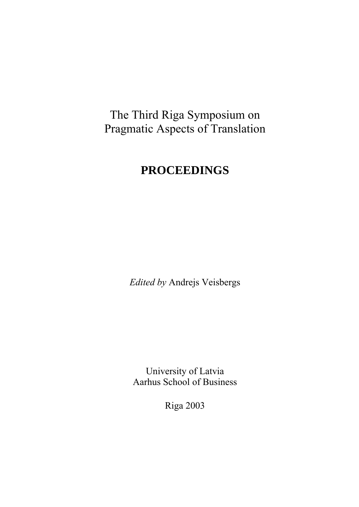# The Third Riga Symposium on Pragmatic Aspects of Translation

# **PROCEEDINGS**

*Edited by* Andrejs Veisbergs

University of Latvia Aarhus School of Business

Riga 2003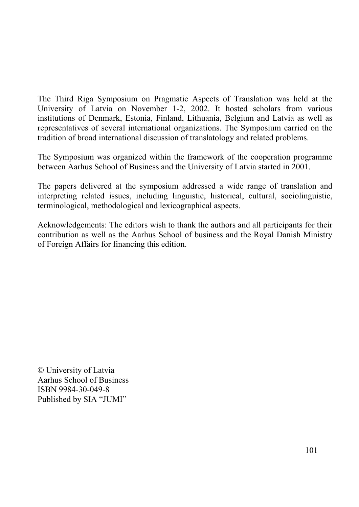The Third Riga Symposium on Pragmatic Aspects of Translation was held at the University of Latvia on November 1-2, 2002. It hosted scholars from various institutions of Denmark, Estonia, Finland, Lithuania, Belgium and Latvia as well as representatives of several international organizations. The Symposium carried on the tradition of broad international discussion of translatology and related problems.

The Symposium was organized within the framework of the cooperation programme between Aarhus School of Business and the University of Latvia started in 2001.

The papers delivered at the symposium addressed a wide range of translation and interpreting related issues, including linguistic, historical, cultural, sociolinguistic, terminological, methodological and lexicographical aspects.

Acknowledgements: The editors wish to thank the authors and all participants for their contribution as well as the Aarhus School of business and the Royal Danish Ministry of Foreign Affairs for financing this edition.

© University of Latvia Aarhus School of Business ISBN 9984-30-049-8 Published by SIA "JUMI"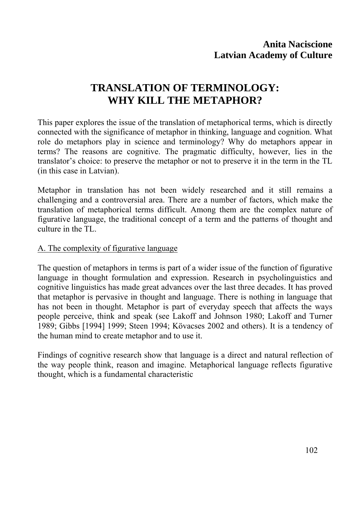## **TRANSLATION OF TERMINOLOGY: WHY KILL THE METAPHOR?**

This paper explores the issue of the translation of metaphorical terms, which is directly connected with the significance of metaphor in thinking, language and cognition. What role do metaphors play in science and terminology? Why do metaphors appear in terms? The reasons are cognitive. The pragmatic difficulty, however, lies in the translator's choice: to preserve the metaphor or not to preserve it in the term in the TL (in this case in Latvian).

Metaphor in translation has not been widely researched and it still remains a challenging and a controversial area. There are a number of factors, which make the translation of metaphorical terms difficult. Among them are the complex nature of figurative language, the traditional concept of a term and the patterns of thought and culture in the TL.

#### A. The complexity of figurative language

The question of metaphors in terms is part of a wider issue of the function of figurative language in thought formulation and expression. Research in psycholinguistics and cognitive linguistics has made great advances over the last three decades. It has proved that metaphor is pervasive in thought and language. There is nothing in language that has not been in thought. Metaphor is part of everyday speech that affects the ways people perceive, think and speak (see Lakoff and Johnson 1980; Lakoff and Turner 1989; Gibbs [1994] 1999; Steen 1994; Kövacses 2002 and others). It is a tendency of the human mind to create metaphor and to use it.

Findings of cognitive research show that language is a direct and natural reflection of the way people think, reason and imagine. Metaphorical language reflects figurative thought, which is a fundamental characteristic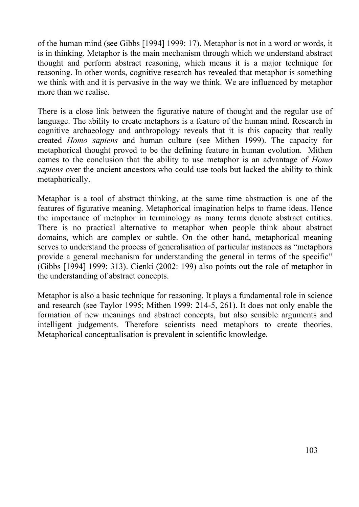of the human mind (see Gibbs [1994] 1999: 17). Metaphor is not in a word or words, it is in thinking. Metaphor is the main mechanism through which we understand abstract thought and perform abstract reasoning, which means it is a major technique for reasoning. In other words, cognitive research has revealed that metaphor is something we think with and it is pervasive in the way we think. We are influenced by metaphor more than we realise.

There is a close link between the figurative nature of thought and the regular use of language. The ability to create metaphors is a feature of the human mind. Research in cognitive archaeology and anthropology reveals that it is this capacity that really created *Homo sapiens* and human culture (see Mithen 1999). The capacity for metaphorical thought proved to be the defining feature in human evolution. Mithen comes to the conclusion that the ability to use metaphor is an advantage of *Homo sapiens* over the ancient ancestors who could use tools but lacked the ability to think metaphorically.

Metaphor is a tool of abstract thinking, at the same time abstraction is one of the features of figurative meaning. Metaphorical imagination helps to frame ideas. Hence the importance of metaphor in terminology as many terms denote abstract entities. There is no practical alternative to metaphor when people think about abstract domains, which are complex or subtle. On the other hand, metaphorical meaning serves to understand the process of generalisation of particular instances as "metaphors provide a general mechanism for understanding the general in terms of the specific" (Gibbs [1994] 1999: 313). Cienki (2002: 199) also points out the role of metaphor in the understanding of abstract concepts.

Metaphor is also a basic technique for reasoning. It plays a fundamental role in science and research (see Taylor 1995; Mithen 1999: 214-5, 261). It does not only enable the formation of new meanings and abstract concepts, but also sensible arguments and intelligent judgements. Therefore scientists need metaphors to create theories. Metaphorical conceptualisation is prevalent in scientific knowledge.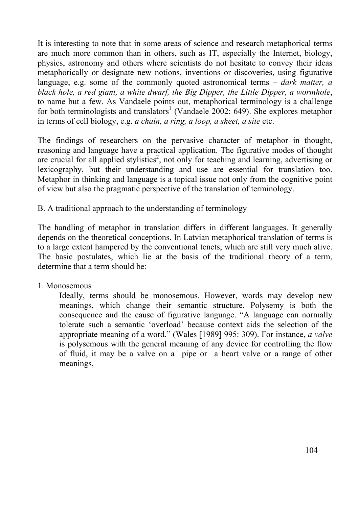It is interesting to note that in some areas of science and research metaphorical terms are much more common than in others, such as IT, especially the Internet, biology, physics, astronomy and others where scientists do not hesitate to convey their ideas metaphorically or designate new notions, inventions or discoveries, using figurative language, e.g. some of the commonly quoted astronomical terms – *dark matter, a black hole, a red giant, a white dwarf, the Big Dipper, the Little Dipper, a wormhole*, to name but a few. As Vandaele points out, metaphorical terminology is a challenge for both terminologists and translators<sup>1</sup> (Vandaele 2002: 649). She explores metaphor in terms of cell biology, e.g. *a chain, a ring, a loop, a sheet, a site* etc.

The findings of researchers on the pervasive character of metaphor in thought, reasoning and language have a practical application. The figurative modes of thought are crucial for all applied stylistics<sup>2</sup>, not only for teaching and learning, advertising or lexicography, but their understanding and use are essential for translation too. Metaphor in thinking and language is a topical issue not only from the cognitive point of view but also the pragmatic perspective of the translation of terminology.

#### B. A traditional approach to the understanding of terminology

The handling of metaphor in translation differs in different languages. It generally depends on the theoretical conceptions. In Latvian metaphorical translation of terms is to a large extent hampered by the conventional tenets, which are still very much alive. The basic postulates, which lie at the basis of the traditional theory of a term, determine that a term should be:

#### 1. Monosemous

Ideally, terms should be monosemous. However, words may develop new meanings, which change their semantic structure. Polysemy is both the consequence and the cause of figurative language. "A language can normally tolerate such a semantic 'overload' because context aids the selection of the appropriate meaning of a word." (Wales [1989] 995: 309). For instance, *a valve* is polysemous with the general meaning of any device for controlling the flow of fluid, it may be a valve on a pipe or a heart valve or a range of other meanings,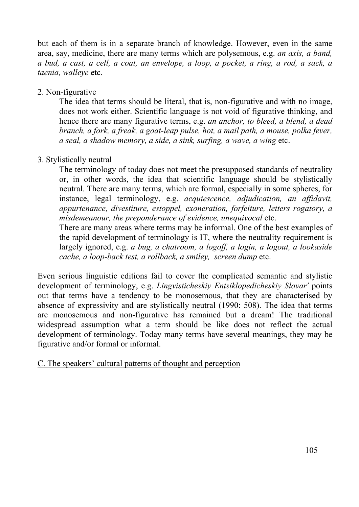but each of them is in a separate branch of knowledge. However, even in the same area, say, medicine, there are many terms which are polysemous, e.g. *an axis, a band, a bud, a cast, a cell, a coat, an envelope, a loop, a pocket, a ring, a rod, a sack, a taenia, walleye* etc.

#### 2. Non-figurative

The idea that terms should be literal, that is, non-figurative and with no image, does not work either. Scientific language is not void of figurative thinking, and hence there are many figurative terms, e.g. *an anchor, to bleed, a blend, a dead branch, a fork, a freak, a goat-leap pulse, hot, a mail path, a mouse, polka fever, a seal, a shadow memory, a side, a sink, surfing, a wave, a wing* etc.

### 3. Stylistically neutral

The terminology of today does not meet the presupposed standards of neutrality or, in other words, the idea that scientific language should be stylistically neutral. There are many terms, which are formal, especially in some spheres, for instance, legal terminology, e.g. *acquiescence, adjudication, an affidavit, appurtenance, divestiture, estoppel, exoneration, forfeiture, letters rogatory, a misdemeanour, the preponderance of evidence, unequivocal* etc.

There are many areas where terms may be informal. One of the best examples of the rapid development of terminology is IT, where the neutrality requirement is largely ignored, e.g. *a bug, a chatroom, a logoff, a login, a logout, a lookaside cache, a loop-back test, a rollback, a smiley, screen dump* etc.

Even serious linguistic editions fail to cover the complicated semantic and stylistic development of terminology, e.g. *Lingvisticheskiy Entsiklopedicheskiy Slovar'* points out that terms have a tendency to be monosemous, that they are characterised by absence of expressivity and are stylistically neutral (1990: 508). The idea that terms are monosemous and non-figurative has remained but a dream! The traditional widespread assumption what a term should be like does not reflect the actual development of terminology. Today many terms have several meanings, they may be figurative and/or formal or informal.

### C. The speakers' cultural patterns of thought and perception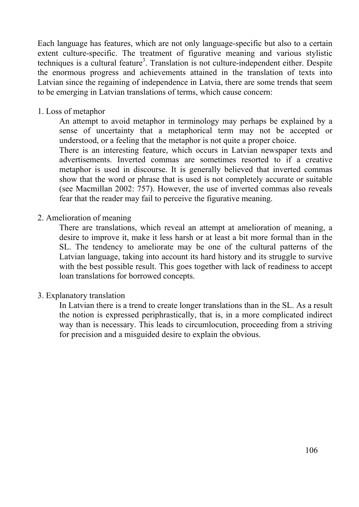Each language has features, which are not only language-specific but also to a certain extent culture-specific. The treatment of figurative meaning and various stylistic techniques is a cultural feature<sup>3</sup>. Translation is not culture-independent either. Despite the enormous progress and achievements attained in the translation of texts into Latvian since the regaining of independence in Latvia, there are some trends that seem to be emerging in Latvian translations of terms, which cause concern:

1. Loss of metaphor

An attempt to avoid metaphor in terminology may perhaps be explained by a sense of uncertainty that a metaphorical term may not be accepted or understood, or a feeling that the metaphor is not quite a proper choice.

There is an interesting feature, which occurs in Latvian newspaper texts and advertisements. Inverted commas are sometimes resorted to if a creative metaphor is used in discourse. It is generally believed that inverted commas show that the word or phrase that is used is not completely accurate or suitable (see Macmillan 2002: 757). However, the use of inverted commas also reveals fear that the reader may fail to perceive the figurative meaning.

#### 2. Amelioration of meaning

There are translations, which reveal an attempt at amelioration of meaning, a desire to improve it, make it less harsh or at least a bit more formal than in the SL. The tendency to ameliorate may be one of the cultural patterns of the Latvian language, taking into account its hard history and its struggle to survive with the best possible result. This goes together with lack of readiness to accept loan translations for borrowed concepts.

#### 3. Explanatory translation

In Latvian there is a trend to create longer translations than in the SL. As a result the notion is expressed periphrastically, that is, in a more complicated indirect way than is necessary. This leads to circumlocution, proceeding from a striving for precision and a misguided desire to explain the obvious.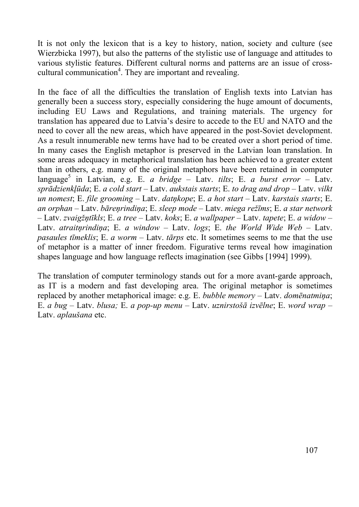It is not only the lexicon that is a key to history, nation, society and culture (see Wierzbicka 1997), but also the patterns of the stylistic use of language and attitudes to various stylistic features. Different cultural norms and patterns are an issue of crosscultural communication<sup>4</sup>. They are important and revealing.

In the face of all the difficulties the translation of English texts into Latvian has generally been a success story, especially considering the huge amount of documents, including EU Laws and Regulations, and training materials. The urgency for translation has appeared due to Latvia's desire to accede to the EU and NATO and the need to cover all the new areas, which have appeared in the post-Soviet development. As a result innumerable new terms have had to be created over a short period of time. In many cases the English metaphor is preserved in the Latvian loan translation. In some areas adequacy in metaphorical translation has been achieved to a greater extent than in others, e.g. many of the original metaphors have been retained in computer language<sup>5</sup> in Latvian, e.g. E. *a bridge* – Latv. *tilts*; E. *a burst error* – Latv. *sprādzienkļūda*; E. *a cold start* – Latv. *aukstais starts*; E. *to drag and drop* – Latv. *vilkt un nomest*; E. *file grooming* – Latv. *datņkope*; E. *a hot start* – Latv. *karstais starts*; E. *an orphan* – Latv. *bāreņrindiņa*; E. *sleep mode* – Latv. *miega režīms*; E. *a star network* – Latv. *zvaigžņtīkls*; E. *a tree* – Latv. *koks*; E. *a wallpaper* – Latv. *tapete*; E. *a widow* – Latv. *atraitņrindiņa*; E. *a window* – Latv. *logs*; E. *the World Wide Web* – Latv. *pasaules tīmeklis*; E. *a worm* – Latv. *tārps* etc. It sometimes seems to me that the use of metaphor is a matter of inner freedom. Figurative terms reveal how imagination shapes language and how language reflects imagination (see Gibbs [1994] 1999).

The translation of computer terminology stands out for a more avant-garde approach, as IT is a modern and fast developing area. The original metaphor is sometimes replaced by another metaphorical image: e.g. E. *bubble memory* – Latv. *domēnatmiņa*; E. *a bug* – Latv. *blusa;* E. *a pop-up menu* – Latv. *uznirstošā izvēlne*; E. *word wrap* – Latv. *aplaušana* etc.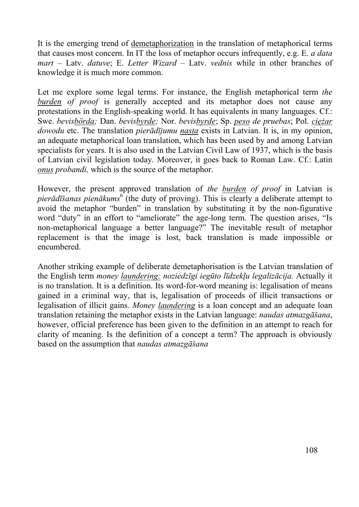It is the emerging trend of demetaphorization in the translation of metaphorical terms that causes most concern. In IT the loss of metaphor occurs infrequently, e.g. E. *a data mart* – Latv. *datuve*; E. *Letter Wizard* – Latv. *vednis* while in other branches of knowledge it is much more common.

Let me explore some legal terms. For instance, the English metaphorical term *the*  **burden** of proof is generally accepted and its metaphor does not cause any protestations in the English-speaking world. It has equivalents in many languages. Cf.: Swe. *bevisbörda;* Dan. *bevisbyrde;* Nor. *bevisbyrde*; Sp. *peso de pruebas*; Pol. *ciężar dowodu* etc. The translation *pierādījumu nasta* exists in Latvian. It is, in my opinion, an adequate metaphorical loan translation, which has been used by and among Latvian specialists for years. It is also used in the Latvian Civil Law of 1937, which is the basis of Latvian civil legislation today. Moreover, it goes back to Roman Law. Cf.: Latin *onus probandi,* which is the source of the metaphor.

However, the present approved translation of *the burden of proof* in Latvian is pier*ādīšanas pienākums*<sup>6</sup> (the duty of proving). This is clearly a deliberate attempt to avoid the metaphor "burden" in translation by substituting it by the non-figurative word "duty" in an effort to "ameliorate" the age-long term. The question arises, "Is non-metaphorical language a better language?" The inevitable result of metaphor replacement is that the image is lost, back translation is made impossible or encumbered.

Another striking example of deliberate demetaphorisation is the Latvian translation of the English term *money laundering: noziedzīgi iegūto līdzekļu legalizācija.* Actually it is no translation. It is a definition. Its word-for-word meaning is: legalisation of means gained in a criminal way, that is, legalisation of proceeds of illicit transactions or legalisation of illicit gains. *Money laundering* is a loan concept and an adequate loan translation retaining the metaphor exists in the Latvian language: *naudas atmazgāšana*, however, official preference has been given to the definition in an attempt to reach for clarity of meaning. Is the definition of a concept a term? The approach is obviously based on the assumption that *naudas atmazgāšana*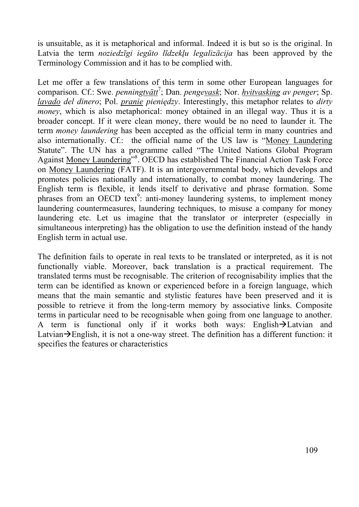is unsuitable, as it is metaphorical and informal. Indeed it is but so is the original. In Latvia the term *noziedzīgi iegūto līdzekļu legalizācija* has been approved by the Terminology Commission and it has to be complied with.

Let me offer a few translations of this term in some other European languages for comparison. Cf.: Swe. *penningtvätt<sup>7</sup>*; Dan. *penge<u>vask</u>*; Nor. *hvitvasking av penger*; Sp. *lavado del dinero*; Pol. *pranie pieniędzy*. Interestingly, this metaphor relates to *dirty money*, which is also metaphorical: money obtained in an illegal way. Thus it is a broader concept. If it were clean money, there would be no need to launder it. The term *money laundering* has been accepted as the official term in many countries and also internationally. Cf.: the official name of the US law is "Money Laundering Statute". The UN has a programme called "The United Nations Global Program Against Money Laundering"<sup>8</sup>. OECD has established The Financial Action Task Force on Money Laundering (FATF). It is an intergovernmental body, which develops and promotes policies nationally and internationally, to combat money laundering. The English term is flexible, it lends itself to derivative and phrase formation. Some phrases from an OECD text<sup>9</sup>: anti-money laundering systems, to implement money laundering countermeasures, laundering techniques, to misuse a company for money laundering etc. Let us imagine that the translator or interpreter (especially in simultaneous interpreting) has the obligation to use the definition instead of the handy English term in actual use.

The definition fails to operate in real texts to be translated or interpreted, as it is not functionally viable. Moreover, back translation is a practical requirement. The translated terms must be recognisable. The criterion of recognisability implies that the term can be identified as known or experienced before in a foreign language, which means that the main semantic and stylistic features have been preserved and it is possible to retrieve it from the long-term memory by associative links. Composite terms in particular need to be recognisable when going from one language to another. A term is functional only if it works both ways: English $\rightarrow$ Latvian and Latvian $\rightarrow$ English, it is not a one-way street. The definition has a different function: it specifies the features or characteristics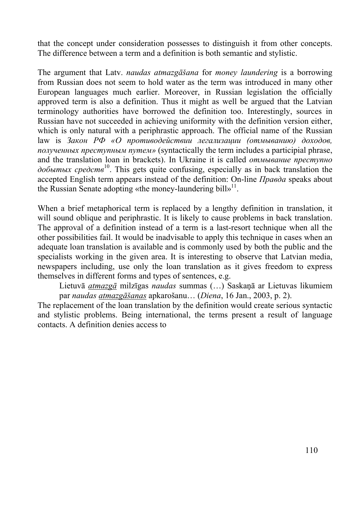that the concept under consideration possesses to distinguish it from other concepts. The difference between a term and a definition is both semantic and stylistic.

The argument that Latv. *naudas atmazgāšana* for *money laundering* is a borrowing from Russian does not seem to hold water as the term was introduced in many other European languages much earlier. Moreover, in Russian legislation the officially approved term is also a definition. Thus it might as well be argued that the Latvian terminology authorities have borrowed the definition too. Interestingly, sources in Russian have not succeeded in achieving uniformity with the definition version either, which is only natural with a periphrastic approach. The official name of the Russian law is *Закон РФ «О противодействии легализации (отмыванию) доходов, полученных преступным путем»* (syntactically the term includes a participial phrase, and the translation loan in brackets). In Ukraine it is called *отмывание преступно добытых средств*10. This gets quite confusing, especially as in back translation the accepted English term appears instead of the definition: On-line *Правда* speaks about the Russian Senate adopting «the money-laundering bill»<sup>11</sup>.

When a brief metaphorical term is replaced by a lengthy definition in translation, it will sound oblique and periphrastic. It is likely to cause problems in back translation. The approval of a definition instead of a term is a last-resort technique when all the other possibilities fail. It would be inadvisable to apply this technique in cases when an adequate loan translation is available and is commonly used by both the public and the specialists working in the given area. It is interesting to observe that Latvian media, newspapers including, use only the loan translation as it gives freedom to express themselves in different forms and types of sentences, e.g.

Lietuvā *atmazgā* milzīgas *naudas* summas (…) Saskaņā ar Lietuvas likumiem par *naudas atmazgāšanas* apkarošanu… (*Diena*, 16 Jan., 2003, p. 2).

The replacement of the loan translation by the definition would create serious syntactic and stylistic problems. Being international, the terms present a result of language contacts. A definition denies access to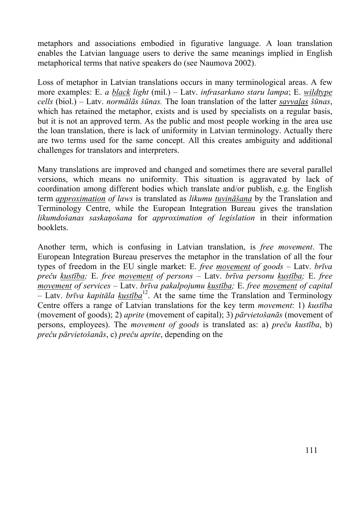metaphors and associations embodied in figurative language. A loan translation enables the Latvian language users to derive the same meanings implied in English metaphorical terms that native speakers do (see Naumova 2002).

Loss of metaphor in Latvian translations occurs in many terminological areas. A few more examples: E. *a black light* (mil.) – Latv. *infrasarkano staru lampa*; E. *wildtype cells* (biol.) – Latv. *normālās šūnas.* The loan translation of the latter *savvaļas šūnas*, which has retained the metaphor, exists and is used by specialists on a regular basis, but it is not an approved term. As the public and most people working in the area use the loan translation, there is lack of uniformity in Latvian terminology. Actually there are two terms used for the same concept. All this creates ambiguity and additional challenges for translators and interpreters.

Many translations are improved and changed and sometimes there are several parallel versions, which means no uniformity. This situation is aggravated by lack of coordination among different bodies which translate and/or publish, e.g. the English term *approximation of laws* is translated as *likumu tuvināšana* by the Translation and Terminology Centre, while the European Integration Bureau gives the translation *likumdošanas saskaņošana* for *approximation of legislation* in their information booklets.

Another term, which is confusing in Latvian translation, is *free movement*. The European Integration Bureau preserves the metaphor in the translation of all the four types of freedom in the EU single market: E. *free movement of goods* – Latv. *brīva preču kustība;* E. *free movement of persons* – Latv. *brīva personu kustība;* E. *free movement of services* – Latv. *brīva pakalpojumu kustība;* E. *free movement of capital* – Latv. *brīva kapitāla kustība*12. At the same time the Translation and Terminology Centre offers a range of Latvian translations for the key term *movement*: 1) *kustība* (movement of goods); 2) *aprite* (movement of capital); 3) *pārvietošanās* (movement of persons, employees). The *movement of goods* is translated as: a) *preču kustība*, b) *preču pārvietošanās*, c) *preču aprite*, depending on the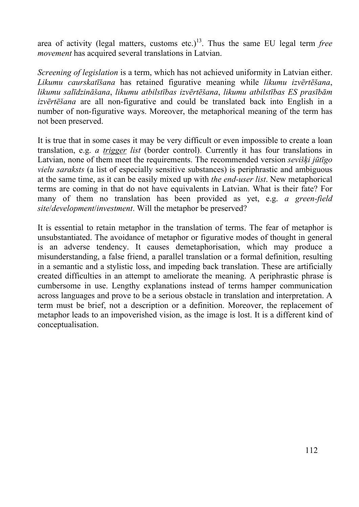area of activity (legal matters, customs etc.)<sup>13</sup>. Thus the same EU legal term *free movement* has acquired several translations in Latvian.

*Screening of legislation* is a term, which has not achieved uniformity in Latvian either. *Likumu caurskatīšana* has retained figurative meaning while *likumu izvērtēšana*, *likumu salīdzināšana*, *likumu atbilstības izvērtēšana*, *likumu atbilstības ES prasībām izvērtēšana* are all non-figurative and could be translated back into English in a number of non-figurative ways. Moreover, the metaphorical meaning of the term has not been preserved.

It is true that in some cases it may be very difficult or even impossible to create a loan translation, e.g. *a trigger list* (border control). Currently it has four translations in Latvian, none of them meet the requirements. The recommended version *sevišķi jūtīgo vielu saraksts* (a list of especially sensitive substances) is periphrastic and ambiguous at the same time, as it can be easily mixed up with *the end-user list*. New metaphorical terms are coming in that do not have equivalents in Latvian. What is their fate? For many of them no translation has been provided as yet, e.g. *a green-field site*/*development*/*investment*. Will the metaphor be preserved?

It is essential to retain metaphor in the translation of terms. The fear of metaphor is unsubstantiated. The avoidance of metaphor or figurative modes of thought in general is an adverse tendency. It causes demetaphorisation, which may produce a misunderstanding, a false friend, a parallel translation or a formal definition, resulting in a semantic and a stylistic loss, and impeding back translation. These are artificially created difficulties in an attempt to ameliorate the meaning. A periphrastic phrase is cumbersome in use. Lengthy explanations instead of terms hamper communication across languages and prove to be a serious obstacle in translation and interpretation. A term must be brief, not a description or a definition. Moreover, the replacement of metaphor leads to an impoverished vision, as the image is lost. It is a different kind of conceptualisation.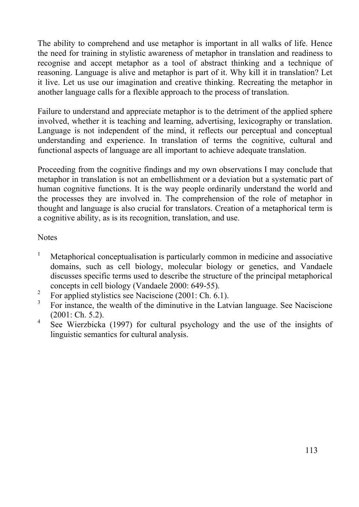The ability to comprehend and use metaphor is important in all walks of life. Hence the need for training in stylistic awareness of metaphor in translation and readiness to recognise and accept metaphor as a tool of abstract thinking and a technique of reasoning. Language is alive and metaphor is part of it. Why kill it in translation? Let it live. Let us use our imagination and creative thinking. Recreating the metaphor in another language calls for a flexible approach to the process of translation.

Failure to understand and appreciate metaphor is to the detriment of the applied sphere involved, whether it is teaching and learning, advertising, lexicography or translation. Language is not independent of the mind, it reflects our perceptual and conceptual understanding and experience. In translation of terms the cognitive, cultural and functional aspects of language are all important to achieve adequate translation.

Proceeding from the cognitive findings and my own observations I may conclude that metaphor in translation is not an embellishment or a deviation but a systematic part of human cognitive functions. It is the way people ordinarily understand the world and the processes they are involved in. The comprehension of the role of metaphor in thought and language is also crucial for translators. Creation of a metaphorical term is a cognitive ability, as is its recognition, translation, and use.

**Notes** 

- 1 Metaphorical conceptualisation is particularly common in medicine and associative domains, such as cell biology, molecular biology or genetics, and Vandaele discusses specific terms used to describe the structure of the principal metaphorical concepts in cell biology (Vandaele 2000: 649-55).
- <sup>2</sup> For applied stylistics see Naciscione (2001: Ch. 6.1).
- 3 For instance, the wealth of the diminutive in the Latvian language. See Naciscione (2001: Ch. 5.2).
- 4 See Wierzbicka (1997) for cultural psychology and the use of the insights of linguistic semantics for cultural analysis.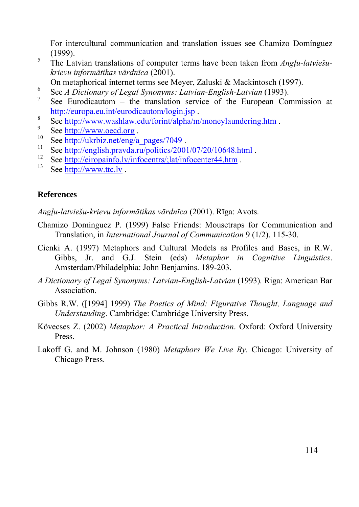For intercultural communication and translation issues see Chamizo Domínguez (1999).

- 5 The Latvian translations of computer terms have been taken from *Angļu-latviešukrievu informātikas vārdnīca* (2001).
- On metaphorical internet terms see Meyer, Zaluski & Mackintosch (1997).
- <sup>6</sup> See *A Dictionary of Legal Synonyms: Latvian-English-Latvian* (1993).
- <sup>7</sup> See Eurodicautom the translation service of the European Commission at  $\frac{\text{http://europa.eu.int/eurodicautom/login.jsp}}{\text{See } \text{http://eurone.com/plane} \text{else/four/chain/other}}$ .
- <sup>8</sup> See http://www.washlaw.edu/forint/alpha/m/moneylaundering.htm<br>
<sup>9</sup> See http://www.oecd.org<br>
<sup>10</sup> See http://ukrbiz.net/eng/a\_pages/7049<br>
<sup>11</sup> See http://english.pravda.ru/politics/2001/07/20/10648.html<br>
<sup>12</sup> See http:
- 
- 
- 
- 
- 

#### **References**

*Angļu-latviešu-krievu informātikas vārdnīca* (2001). Rīga: Avots.

- Chamizo Domínguez P. (1999) False Friends: Mousetraps for Communication and Translation, in *International Journal of Communication* 9 (1/2). 115-30.
- Cienki A. (1997) Metaphors and Cultural Models as Profiles and Bases, in R.W. Gibbs, Jr. and G.J. Stein (eds) *Metaphor in Cognitive Linguistics*. Amsterdam/Philadelphia: John Benjamins. 189-203.
- *A Dictionary of Legal Synonyms: Latvian-English-Latvian* (1993)*.* Riga: American Bar Association.
- Gibbs R.W. ([1994] 1999) *The Poetics of Mind: Figurative Thought, Language and Understanding*. Cambridge: Cambridge University Press.
- Kövecses Z. (2002) *Metaphor: A Practical Introduction*. Oxford: Oxford University Press.
- Lakoff G. and M. Johnson (1980) *Metaphors We Live By.* Chicago: University of Chicago Press.